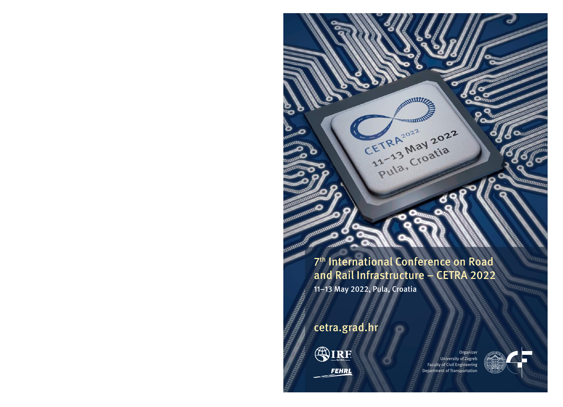The International Conference on Road and Rail Infrastructure – CETRA 2022

TRAZOZZ 2022

TRA May 2021

CETRA 2022

11–13 May 2022, Pula, Croatia

cetra.grad.hr



nummmmm

TIHHH m um

TIRO

**Ountil OF** 

**REALITY AND REALITY** 

**ZZITTTTTT ELECTRICIA** 

umm

**ITILITII** 

wana manamurika ya kata 1992.<br>Manazarta ya Tanzania **FRANCISCO CONTROLLER DE LA CARDINAL REGIONAL DE LA CARDINAL REGIONAL DE LA CARDINAL DE LA CARDINAL DE LA CARDI<br>DE LA CARDINAL DE LA CARDINAL DE LA CARDINAL DE LA CARDINAL DE LA CARDINAL DE LA CARDINAL DE LA CARDINAL DE LA** 

E Maritan

**HIPPERTRIPPIE** 

Organizer University of Zagreb Faculty of Civil Engineering Department of Transportation



**IIIIIIIIIIII** 

**CONTRACTOR DE LA CALIFORNIA DE LA CALIFORNIA DE LA CALIFORNIA DE LA CALIFORNIA DE LA CALIFORNIA DE LA CALIFORNIA** 

ammmmm

 $\bullet$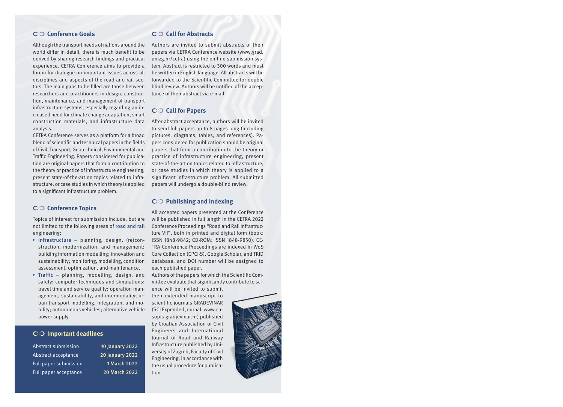### ☛☞ **Conference Goals**

Although the transport needs of nations around the world differ in detail, there is much benefit to be derived by sharing research findings and practical experience. CETRA Conference aims to provide a forum for dialogue on important issues across all disciplines and aspects of the road and rail sectors. The main gaps to be filled are those between researchers and practitioners in design, construction, maintenance, and management of transport infrastructure systems, especially regarding an increased need for climate change adaptation, smart construction materials, and infrastructure data analysis.

CETRA Conference serves as a platform for a broad blend of scientific and technical papers in the fields of Civil, Transport, Geotechnical, Environmental and Traffic Engineering. Papers considered for publication are original papers that form a contribution to the theory or practice of infrastructure engineering, present state-of-the-art on topics related to infrastructure, or case studies in which theory is applied to a significant infrastructure problem.

### ☛☞ **Conference Topics**

Topics of interest for submission include, but are not limited to the following areas of road and rail engineering:

- ▸ Infrastructure planning, design, (re)construction, modernization, and management; building information modelling; innovation and sustainability; monitoring, modelling, condition assessment, optimization, and maintenance.
- $\triangleright$  Traffic planning, modelling, design, and safety; computer techniques and simulations; travel time and service quality; operation management, sustainability, and intermodality; urban transport modelling, integration, and mobility; autonomous vehicles; alternative vehicle power supply.

#### ☛☞ **Important deadlines**

Abstract submission 10 January 2022 Abstract acceptance 20 January 2022 Full paper submission 1 March 2022 Full paper acceptance 20 March 2022

### ☛☞ **Call for Abstracts**

Authors are invited to submit abstracts of their papers via CETRA Conference website (www.grad. unizg.hr/cetra) using the on-line submission system. Abstract is restricted to 300 words and must be written in English language. All abstracts will be forwarded to the Scientific Committee for double blind review. Authors will be notified of the acceptance of their abstract via e-mail.

#### ☛☞ **Call for Papers**

After abstract acceptance, authors will be invited to send full papers up to 8 pages long (including pictures, diagrams, tables, and references). Papers considered for publication should be original papers that form a contribution to the theory or practice of infrastructure engineering, present state-of-the-art on topics related to infrastructure, or case studies in which theory is applied to a significant infrastructure problem. All submitted papers will undergo a double-blind review.

# ☛☞ **Publishing and Indexing**

All accepted papers presented at the Conference will be published in full length in the CETRA 2022 Conference Proceedings "Road and Rail Infrastructure VII", both in printed and digital form (book: ISSN 1848-9842; CD-ROM: ISSN 1848-9850). CE-TRA Conference Proceedings are indexed in WoS Core Collection (CPCI-S), Google Scholar, and TRID database, and DOI number will be assigned to each published paper.

Authors of the papers for which the Scientific Committee evaluate that significantly contribute to sci-

ence will be invited to submit their extended manuscript to scientific journals GRADEVINAR (SCI Expended Journal, www.casopis-gradjevinar.hr) published by Croatian Association of Civil Engineers and International Journal of Road and Railway Infrastructure published by University of Zagreb, Faculty of Civil Engineering, in accordance with the usual procedure for publication.

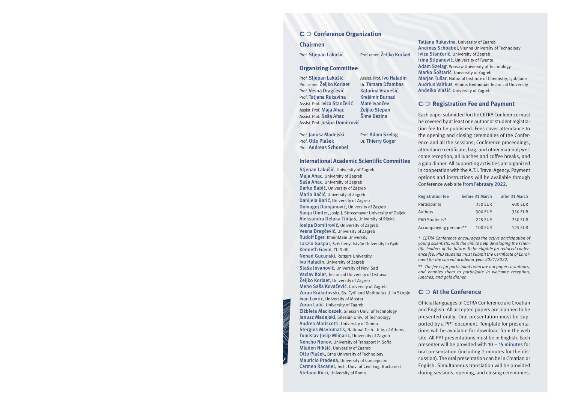### ☛☞ **Conference Organization**

#### **Chairmen**

Prof. Stjepan Lakušić Prof.emer. Željko Korlaet

#### **Organizing Committee**

Prof. Stjepan Lakušić Assist. Prof. Ivo Haladin Prof. emer. Željko Korlaet Dr. Tamara Džambas Prof. Vesna Dragčević Katarina Vranešić Prof. Tatjana Rukavina Krešimir Burnać<br>Assist Prof. Ivica Stančerić Mate Ivančev Assist. Prof. Ivica Stančerić Assist. Prof. Maja Ahac Željko Stepan<br>Assist Prof. Saša Ahac Šime Bezina Assist. Prof. Saša Ahac Assist.Prof. Josipa Domitrović

Prof. Janusz Madejski Prof. Adam Szelag Prof. Otto Plašek Dr. Thierry Goger Prof. Andreas Schoebel

### **International Academic Scientific Committee**

Stjepan Lakušić, University of Zagreb Maja Ahac, University of Zagreb Saša Ahac, University of Zagreb Darko Babić, University of Zagreb Mario Bačić, University of Zagreb Danijela Barić, University of Zagreb Domagoj Damjanović, University of Zagreb Sanja Dimter, Josip J. Strossmayer University of Osijek Aleksandra Deluka Tibljaš, University of Rijeka Josipa Domitrović, University of Zagreb Vesna Dragčević, University of Zagreb Rudolf Eger, RheinMain University Laszlo Gaspar, Széchenyi István University in Győr Kenneth Gavin, TU Delft Nenad Gucunski, Rutgers University Ivo Haladin, University of Zagreb Staša Jovanović, University of Novi Sad Vaclav Kolar, Technical University of Ostrava Željko Korlaet, University of Zagreb Meho Saša Kovačević, University of Zagreb Zoran Krakutovski, Ss. Cyril and Methodius U. in Skopje Ivan Lovrić, University of Mostar Zoran Lulić, University of Zagreb Elżbieta Macioszek, Silesian Univ. of Technology Janusz Madejski, Silesian Univ. of Technology Andrea Mariscotti, University of Genoa Stergios Mavromatis, National Tech. Univ. of Athens Tomislav Josip Mlinaric, University of Zagreb Nencho Nenov, University of Transport in Sofia Mladen Nikšić, University of Zagreb Otto Plašek, Brno University of Technology Mauricio Pradena, University of Concepcion Carmen Racanel, Tech. Univ. of Civil Eng. Bucharest Stefano Ricci, University of Roma

Tatjana Rukavina, University of Zagreb Andreas Schoebel, Vienna University of Technology Ivica Stančerić, University of Zagreb Irina Stipanović, University of Twente Adam Szeląg, Warsaw University of Technology Marko Šoštarić, University of Zagreb Marjan Tušar, National Institute of Chemistry, Ljubljana Audrius Vaitkus, Vilnius Gediminas Technical University Anđelko Vlašić, University of Zagreb

#### ☛☞ **Registration Fee and Payment**

Each paper submitted for the CETRA Conference must be covered by at least one author or student registration fee to be published. Fees cover attendance to the opening and closing ceremonies of the Conference and all the sessions; Conference proceedings, attendance certificate, bag, and other material; welcome reception, all lunches and coffee breaks, and a gala dinner. All supporting activities are organized in cooperation with the A.T.I. Travel Agency. Payment options and instructions will be available through Conference web site from February 2022.

| <b>Registration fee</b> | before 31 March | after 31 March |
|-------------------------|-----------------|----------------|
| Participants            | 350 EUR         | <b>400 EUR</b> |
| Authors                 | <b>300 EUR</b>  | 350 EUR        |
| PhD Students*           | <b>225 EUR</b>  | <b>250 EUR</b> |
| Accompanying persons**  | <b>100 EUR</b>  | <b>125 EUR</b> |

\* *CETRA Conference encourages the active participation of young scientists, with the aim to help developing the scientific leaders of the future. To be eligible for reduced conference fee, PhD students must submit the Certificate of Enrolment for the current academic year 2021/2022.*

\*\* *The fee is for participants who are not paper co-authors, and enables them to participate in welcome reception, lunches, and gala dinner.*

## ☛☞ **At the Conference**

Official languages of CETRA Conference are Croatian and English. All accepted papers are planned to be presented orally. Oral presentation must be supported by a PPT document. Template for presentations will be available for download from the web site. All PPT presentations must be in English. Each presenter will be provided with 10 – 15 minutes for oral presentation (including 2 minutes for the discussion). The oral presentation can be in Croatian or English. Simultaneous translation will be provided during sessions, opening, and closing ceremonies.